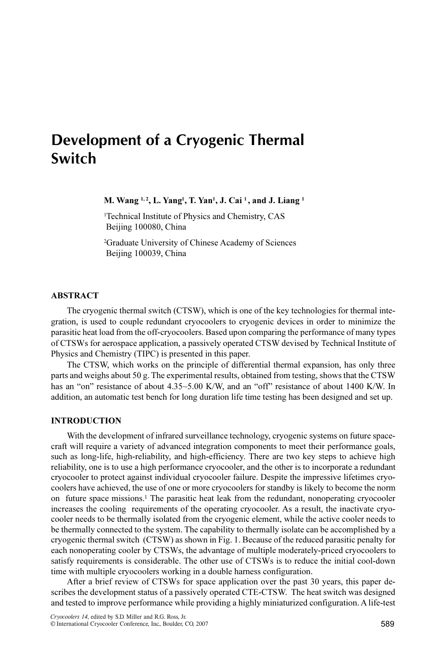# Development of a Cryogenic Thermal Switch

M. Wang <sup>1, 2</sup>, L. Yang<sup>1</sup>, T. Yan<sup>1</sup>, J. Cai<sup>1</sup>, and J. Liang <sup>1</sup>

1 Technical Institute of Physics and Chemistry, CAS Beijing 100080, China

2 Graduate University of Chinese Academy of Sciences Beijing 100039, China

# **ABSTRACT**

The cryogenic thermal switch (CTSW), which is one of the key technologies for thermal integration, is used to couple redundant cryocoolers to cryogenic devices in order to minimize the parasitic heat load from the off-cryocoolers. Based upon comparing the performance of many types of CTSWs for aerospace application, a passively operated CTSW devised by Technical Institute of Physics and Chemistry (TIPC) is presented in this paper.

The CTSW, which works on the principle of differential thermal expansion, has only three parts and weighs about 50 g. The experimental results, obtained from testing, shows that the CTSW has an "on" resistance of about 4.35~5.00 K/W, and an "off" resistance of about 1400 K/W. In addition, an automatic test bench for long duration life time testing has been designed and set up.

# INTRODUCTION

With the development of infrared surveillance technology, cryogenic systems on future spacecraft will require a variety of advanced integration components to meet their performance goals, such as long-life, high-reliability, and high-efficiency. There are two key steps to achieve high reliability, one is to use a high performance cryocooler, and the other is to incorporate a redundant cryocooler to protect against individual cryocooler failure. Despite the impressive lifetimes cryocoolers have achieved, the use of one or more cryocoolers for standby is likely to become the norm on future space missions.<sup>1</sup> The parasitic heat leak from the redundant, nonoperating cryocooler increases the cooling requirements of the operating cryocooler. As a result, the inactivate cryocooler needs to be thermally isolated from the cryogenic element, while the active cooler needs to be thermally connected to the system. The capability to thermally isolate can be accomplished by a cryogenic thermal switch (CTSW) as shown in Fig. 1. Because of the reduced parasitic penalty for each nonoperating cooler by CTSWs, the advantage of multiple moderately-priced cryocoolers to satisfy requirements is considerable. The other use of CTSWs is to reduce the initial cool-down time with multiple cryocoolers working in a double harness configuration.

After a brief review of CTSWs for space application over the past 30 years, this paper describes the development status of a passively operated CTE-CTSW. The heat switch was designed and tested to improve performance while providing a highly miniaturized configuration. A life-test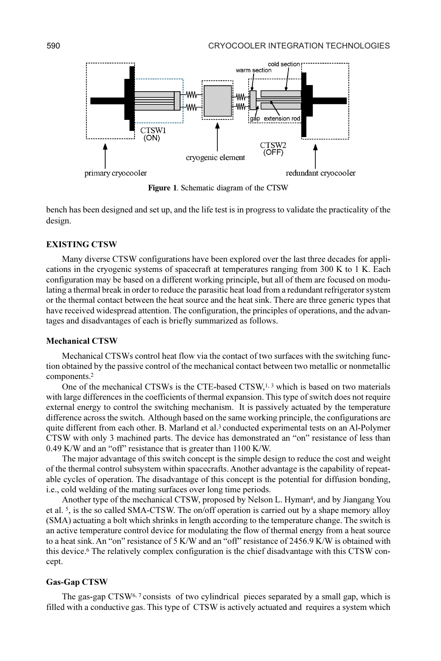

Figure 1. Schematic diagram of the CTSW

bench has been designed and set up, and the life test is in progress to validate the practicality of the design.

## EXISTING CTSW

Many diverse CTSW configurations have been explored over the last three decades for applications in the cryogenic systems of spacecraft at temperatures ranging from 300 K to 1 K. Each configuration may be based on a different working principle, but all of them are focused on modulating a thermal break in order to reduce the parasitic heat load from a redundant refrigerator system or the thermal contact between the heat source and the heat sink. There are three generic types that have received widespread attention. The configuration, the principles of operations, and the advantages and disadvantages of each is briefly summarized as follows.

## Mechanical CTSW

Mechanical CTSWs control heat flow via the contact of two surfaces with the switching function obtained by the passive control of the mechanical contact between two metallic or nonmetallic components.<sup>2</sup>

One of the mechanical CTSWs is the CTE-based CTSW, $1,3$  which is based on two materials with large differences in the coefficients of thermal expansion. This type of switch does not require external energy to control the switching mechanism. It is passively actuated by the temperature difference across the switch. Although based on the same working principle, the configurations are quite different from each other. B. Marland et al.<sup>3</sup> conducted experimental tests on an Al-Polymer CTSW with only 3 machined parts. The device has demonstrated an "on" resistance of less than 0.49 K/W and an "off" resistance that is greater than 1100 K/W.

The major advantage of this switch concept is the simple design to reduce the cost and weight of the thermal control subsystem within spacecrafts. Another advantage is the capability of repeatable cycles of operation. The disadvantage of this concept is the potential for diffusion bonding, i.e., cold welding of the mating surfaces over long time periods.

Another type of the mechanical CTSW, proposed by Nelson L. Hyman<sup>4</sup>, and by Jiangang You et al. <sup>5</sup>, is the so called SMA-CTSW. The on/off operation is carried out by a shape memory alloy (SMA) actuating a bolt which shrinks in length according to the temperature change. The switch is an active temperature control device for modulating the flow of thermal energy from a heat source to a heat sink. An "on" resistance of 5 K/W and an "off" resistance of 2456.9 K/W is obtained with this device.<sup>6</sup> The relatively complex configuration is the chief disadvantage with this CTSW concept.

#### Gas-Gap CTSW

The gas-gap  $CTSW<sup>6, 7</sup>$  consists of two cylindrical pieces separated by a small gap, which is filled with a conductive gas. This type of CTSW is actively actuated and requires a system which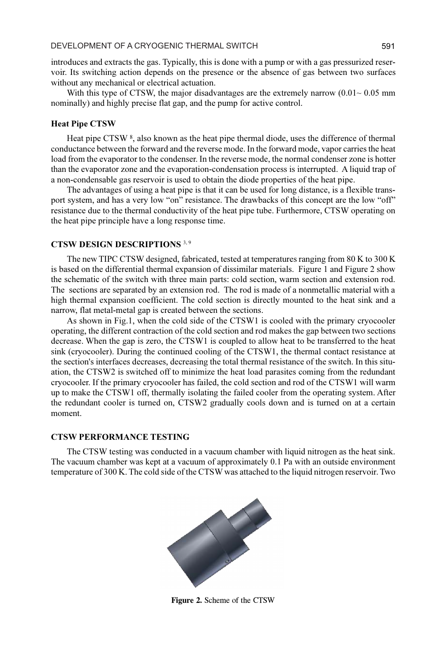introduces and extracts the gas. Typically, this is done with a pump or with a gas pressurized reservoir. Its switching action depends on the presence or the absence of gas between two surfaces without any mechanical or electrical actuation.

With this type of CTSW, the major disadvantages are the extremely narrow  $(0.01 \sim 0.05$  mm nominally) and highly precise flat gap, and the pump for active control.

# Heat Pipe CTSW

Heat pipe CTSW <sup>8</sup>, also known as the heat pipe thermal diode, uses the difference of thermal conductance between the forward and the reverse mode. In the forward mode, vapor carries the heat load from the evaporator to the condenser. In the reverse mode, the normal condenser zone is hotter than the evaporator zone and the evaporation-condensation process is interrupted. A liquid trap of a non-condensable gas reservoir is used to obtain the diode properties of the heat pipe.

The advantages of using a heat pipe is that it can be used for long distance, is a flexible transport system, and has a very low "on" resistance. The drawbacks of this concept are the low "off" resistance due to the thermal conductivity of the heat pipe tube. Furthermore, CTSW operating on the heat pipe principle have a long response time.

# CTSW DESIGN DESCRIPTIONS<sup>3,9</sup>

The new TIPC CTSW designed, fabricated, tested at temperatures ranging from 80 K to 300 K is based on the differential thermal expansion of dissimilar materials. Figure 1 and Figure 2 show the schematic of the switch with three main parts: cold section, warm section and extension rod. The sections are separated by an extension rod. The rod is made of a nonmetallic material with a high thermal expansion coefficient. The cold section is directly mounted to the heat sink and a narrow, flat metal-metal gap is created between the sections.

As shown in Fig.1, when the cold side of the CTSW1 is cooled with the primary cryocooler operating, the different contraction of the cold section and rod makes the gap between two sections decrease. When the gap is zero, the CTSW1 is coupled to allow heat to be transferred to the heat sink (cryocooler). During the continued cooling of the CTSW1, the thermal contact resistance at the section's interfaces decreases, decreasing the total thermal resistance of the switch. In this situation, the CTSW2 is switched off to minimize the heat load parasites coming from the redundant cryocooler. If the primary cryocooler has failed, the cold section and rod of the CTSW1 will warm up to make the CTSW1 off, thermally isolating the failed cooler from the operating system. After the redundant cooler is turned on, CTSW2 gradually cools down and is turned on at a certain moment.

# CTSW PERFORMANCE TESTING

The CTSW testing was conducted in a vacuum chamber with liquid nitrogen as the heat sink. The vacuum chamber was kept at a vacuum of approximately 0.1 Pa with an outside environment temperature of 300 K. The cold side of the CTSW was attached to the liquid nitrogen reservoir. Two



Figure 2. Scheme of the CTSW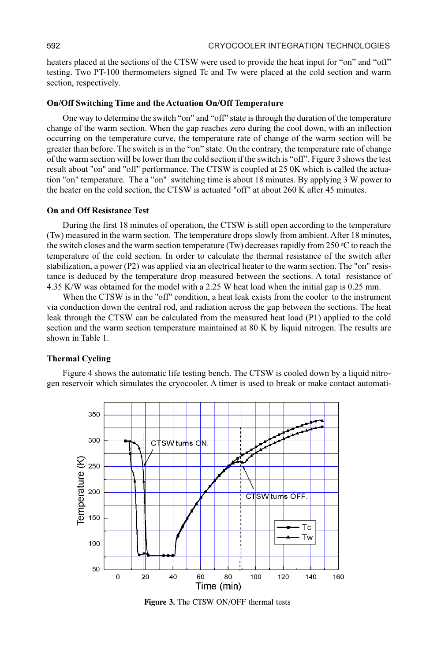heaters placed at the sections of the CTSW were used to provide the heat input for "on" and "off" testing. Two PT-100 thermometers signed Tc and Tw were placed at the cold section and warm section, respectively.

#### On/Off Switching Time and the Actuation On/Off Temperature

One way to determine the switch "on" and "off" state is through the duration of the temperature change of the warm section. When the gap reaches zero during the cool down, with an inflection occurring on the temperature curve, the temperature rate of change of the warm section will be greater than before. The switch is in the "on" state. On the contrary, the temperature rate of change of the warm section will be lower than the cold section if the switch is "off". Figure 3 shows the test result about "on" and "off" performance. The CTSW is coupled at 25 0K which is called the actuation "on" temperature. The a "on" switching time is about 18 minutes. By applying 3 W power to the heater on the cold section, the CTSW is actuated "off" at about 260 K after 45 minutes.

## On and Off Resistance Test

During the first 18 minutes of operation, the CTSW is still open according to the temperature (Tw) measured in the warm section. The temperature drops slowly from ambient. After 18 minutes, the switch closes and the warm section temperature (Tw) decreases rapidly from 250  $\degree$ C to reach the temperature of the cold section. In order to calculate the thermal resistance of the switch after stabilization, a power (P2) was applied via an electrical heater to the warm section. The "on" resistance is deduced by the temperature drop measured between the sections. A total resistance of 4.35 K/W was obtained for the model with a 2.25 W heat load when the initial gap is 0.25 mm.

When the CTSW is in the "off" condition, a heat leak exists from the cooler to the instrument via conduction down the central rod, and radiation across the gap between the sections. The heat leak through the CTSW can be calculated from the measured heat load (P1) applied to the cold section and the warm section temperature maintained at 80 K by liquid nitrogen. The results are shown in Table 1.

#### Thermal Cycling

Figure 4 shows the automatic life testing bench. The CTSW is cooled down by a liquid nitrogen reservoir which simulates the cryocooler. A timer is used to break or make contact automati-



Figure 3. The CTSW ON/OFF thermal tests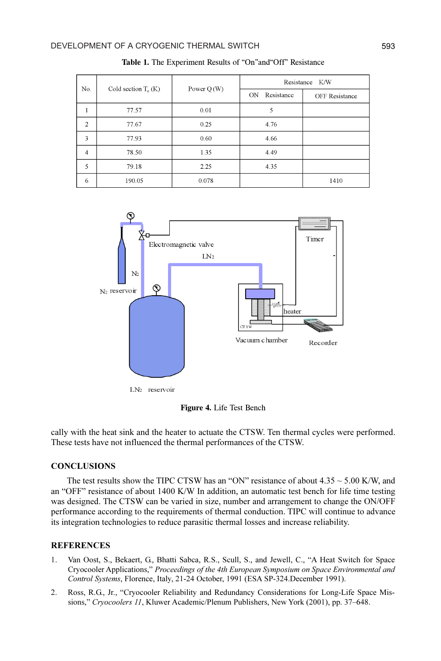| No.            | Cold section $T_c(K)$ | Power $Q(W)$ | Resistance K/W    |                       |
|----------------|-----------------------|--------------|-------------------|-----------------------|
|                |                       |              | ON.<br>Resistance | <b>OFF</b> Resistance |
| 1              | 77.57                 | 0.01         | 5                 |                       |
| $\overline{2}$ | 77.67                 | 0.25         | 4.76              |                       |
| 3              | 77.93                 | 0.60         | 4.66              |                       |
| $\overline{4}$ | 78.50                 | 1.35         | 4.49              |                       |
| 5              | 79.18                 | 2.25         | 4.35              |                       |
| 6              | 190.05                | 0.078        |                   | 1410                  |

Table 1. The Experiment Results of "On"and"Off" Resistance



LN<sub>2</sub> reservoir

Figure 4. Life Test Bench

cally with the heat sink and the heater to actuate the CTSW. Ten thermal cycles were performed. These tests have not influenced the thermal performances of the CTSW.

# **CONCLUSIONS**

The test results show the TIPC CTSW has an "ON" resistance of about  $4.35 \sim 5.00$  K/W, and an "OFF" resistance of about 1400 K/W In addition, an automatic test bench for life time testing was designed. The CTSW can be varied in size, number and arrangement to change the ON/OFF performance according to the requirements of thermal conduction. TIPC will continue to advance its integration technologies to reduce parasitic thermal losses and increase reliability.

# **REFERENCES**

- 1. Van Oost, S., Bekaert, G., Bhatti Sabca, R.S., Scull, S., and Jewell, C., "A Heat Switch for Space Cryocooler Applications," Proceedings of the 4th European Symposium on Space Environmental and Control Systems, Florence, Italy, 21-24 October, 1991 (ESA SP-324.December 1991).
- 2. Ross, R.G., Jr., "Cryocooler Reliability and Redundancy Considerations for Long-Life Space Missions," Cryocoolers 11, Kluwer Academic/Plenum Publishers, New York (2001), pp. 37–648.